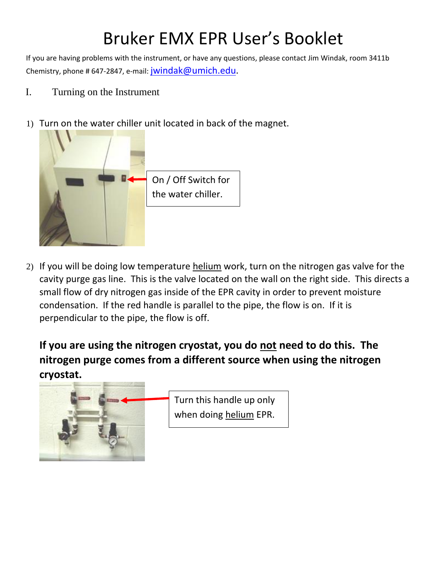## Bruker EMX EPR User's Booklet

If you are having problems with the instrument, or have any questions, please contact Jim Windak, room 3411b Chemistry, phone # 647-2847, e-mail: jwindak@umich.edu.

- I. Turning on the Instrument
- 1) Turn on the water chiller unit located in back of the magnet.



2) If you will be doing low temperature helium work, turn on the nitrogen gas valve for the cavity purge gas line. This is the valve located on the wall on the right side. This directs a small flow of dry nitrogen gas inside of the EPR cavity in order to prevent moisture condensation. If the red handle is parallel to the pipe, the flow is on. If it is perpendicular to the pipe, the flow is off.

**If you are using the nitrogen cryostat, you do not need to do this. The nitrogen purge comes from a different source when using the nitrogen cryostat.**

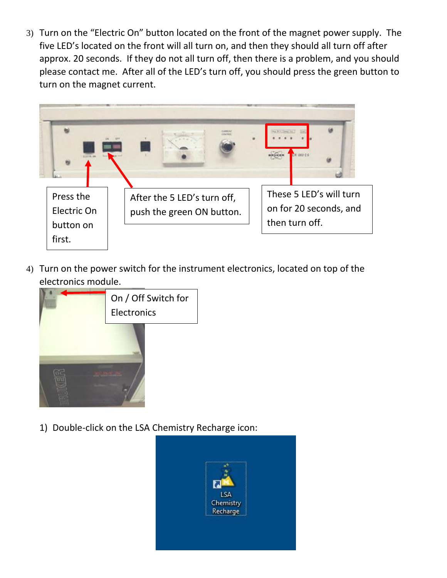3) Turn on the "Electric On" button located on the front of the magnet power supply. The five LED's located on the front will all turn on, and then they should all turn off after approx. 20 seconds. If they do not all turn off, then there is a problem, and you should please contact me. After all of the LED's turn off, you should press the green button to turn on the magnet current.



4) Turn on the power switch for the instrument electronics, located on top of the electronics module.



1) Double-click on the LSA Chemistry Recharge icon:

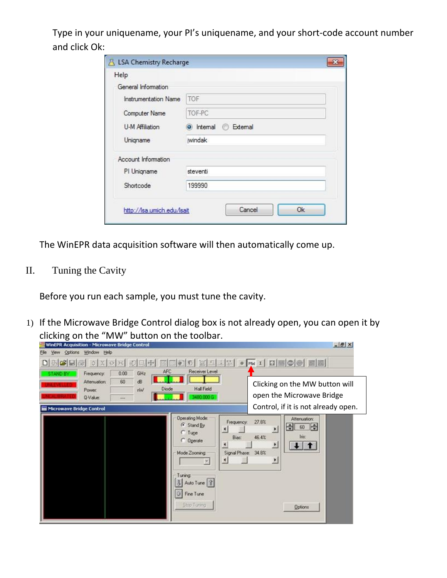Type in your uniquename, your PI's uniquename, and your short-code account number and click Ok:

| Help                       |                       |
|----------------------------|-----------------------|
| General Information        |                       |
| Instrumentation Name       | <b>TOF</b>            |
| Computer Name              | TOF-PC                |
| U-M Affiliation            | O Internal C External |
| Uniqname                   | jwindak               |
| <b>Account Information</b> |                       |
| PI Uniqname                | steventi              |
| Shortcode                  | 199990                |

The WinEPR data acquisition software will then automatically come up.

II. Tuning the Cavity

Before you run each sample, you must tune the cavity.

1) If the Microwave Bridge Control dialog box is not already open, you can open it by clicking on the "MW" button on the toolbar.

| <b>WinEPR Acquisition - Microwave Bridge Control</b> | Yew Options Window Help                                        |                    |                              |              |                                                                                                                                                                     |                                                           |                                            |                                                                                                    | $-10 \times$ |
|------------------------------------------------------|----------------------------------------------------------------|--------------------|------------------------------|--------------|---------------------------------------------------------------------------------------------------------------------------------------------------------------------|-----------------------------------------------------------|--------------------------------------------|----------------------------------------------------------------------------------------------------|--------------|
| NG H<br>D                                            | $\circ x \circ x = 1$                                          |                    |                              |              | <b>Receiver Level</b>                                                                                                                                               |                                                           |                                            | □□□○○ ※ □ 人 ※ ● w 1 □ ■○◎ 圖圖                                                                       |              |
| Microwave Bridge Control                             | Frequency:<br><b>Attenuation:</b><br>Power:<br><b>Q-Value:</b> | 0.00<br>60<br>1000 | GHz<br>d <sub>B</sub><br>rNV | AFC<br>Diode | <b>Hall Field</b><br>480.000 G                                                                                                                                      |                                                           |                                            | Clicking on the MW button will<br>open the Microwave Bridge<br>Control, if it is not already open. |              |
|                                                      |                                                                |                    |                              |              | <b>Operating Mode:</b><br>G Stand By<br>$C$ Tupe<br>C Operate<br>Mode Zooming<br>$\overline{\mathbf{z}}$<br>Tuning<br>3 Auto Tune   ?<br>O Fine Tune<br>Stop Tuning | Frequency:<br>п<br>Bias:<br>н<br>Signal Phase: 34.8%<br>₫ | 27.8%<br>픠<br>46.4%<br>$\overline{.}$<br>끄 | Attenuation:<br>$60$ $\Rightarrow$<br>曲<br><b>Inc.</b><br>$+1$<br><b>Options</b>                   |              |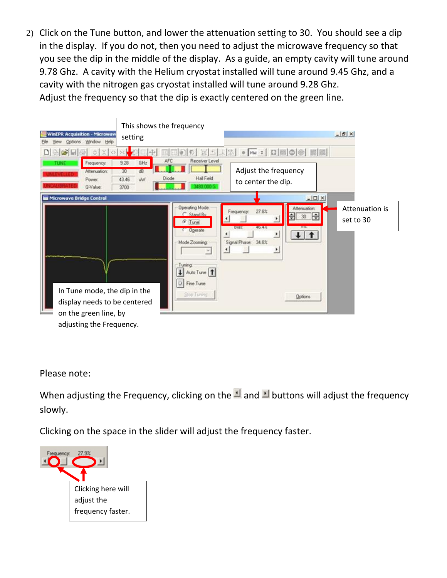2) Click on the Tune button, and lower the attenuation setting to 30. You should see a dip in the display. If you do not, then you need to adjust the microwave frequency so that you see the dip in the middle of the display. As a guide, an empty cavity will tune around 9.78 Ghz. A cavity with the Helium cryostat installed will tune around 9.45 Ghz, and a cavity with the nitrogen gas cryostat installed will tune around 9.28 Ghz. Adjust the frequency so that the dip is exactly centered on the green line.



Please note:

When adjusting the Frequency, clicking on the  $\blacksquare$  and  $\blacksquare$  buttons will adjust the frequency slowly.

Clicking on the space in the slider will adjust the frequency faster.

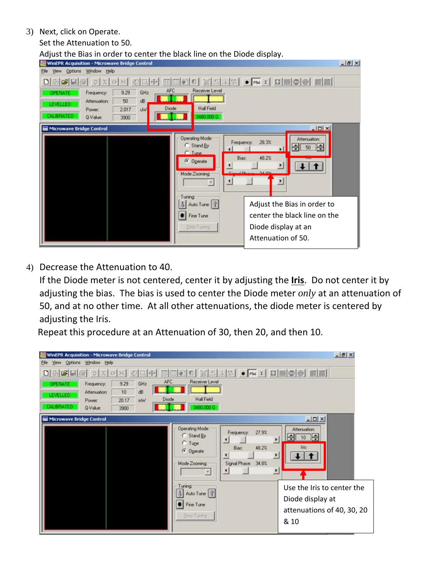3) Next, click on Operate.

Set the Attenuation to 50.

Adjust the Bias in order to center the black line on the Diode display.

| <b>WinEPR Acquisition - Microwave Bridge Control</b><br>Options Window Help |          |     |        |                                                                                                                           |                                                                                                                                                                                                                            | $-18$ $\times$ |
|-----------------------------------------------------------------------------|----------|-----|--------|---------------------------------------------------------------------------------------------------------------------------|----------------------------------------------------------------------------------------------------------------------------------------------------------------------------------------------------------------------------|----------------|
| اتقا<br>$ \times $<br>$\Diamond$                                            | >1<br>32 | 一   |        |                                                                                                                           | ELR . NIBOO HE                                                                                                                                                                                                             |                |
| Frequency:                                                                  | 9.29     | GHz | AFC    | Receiver Level                                                                                                            |                                                                                                                                                                                                                            |                |
| <b>Alteriuation:</b>                                                        | 50       | ďB  |        |                                                                                                                           |                                                                                                                                                                                                                            |                |
| Power:                                                                      | 2.017    | W   | Diode  | <b>Hall Field</b>                                                                                                         |                                                                                                                                                                                                                            |                |
| <b>RRATED</b><br>Q-Value:                                                   | 3900     |     |        | 490.000 G                                                                                                                 |                                                                                                                                                                                                                            |                |
| <b>Microwave Bridge Control</b>                                             |          |     |        |                                                                                                                           | $-10x$                                                                                                                                                                                                                     |                |
|                                                                             |          |     | Tuning | <b>Operating Mode:</b><br>C Stand By<br>C Tune<br>G Operate<br>Mode Zooming:<br>Auto Tune   ?<br>Fine Tune<br>Stop Tuning | Attenuation:<br>28.3%<br>Frequency:<br>$50$ $\Rightarrow$<br>H÷<br>48.2%<br><b>Bias:</b><br>Δ<br>$\cdot$<br>P.<br>Adjust the Bias in order to<br>center the black line on the<br>Diode display at an<br>Attenuation of 50. |                |

4) Decrease the Attenuation to 40.

If the Diode meter is not centered, center it by adjusting the **Iris**. Do not center it by adjusting the bias. The bias is used to center the Diode meter *only* at an attenuation of 50, and at no other time. At all other attenuations, the diode meter is centered by adjusting the Iris.

Repeat this procedure at an Attenuation of 30, then 20, and then 10.

|                                     | <b>WinEPR Acquisition - Microwave Bridge Control</b>    |                             |                   |              |                                                                                |                                                                                    |                                                                                      | $- B $ X |
|-------------------------------------|---------------------------------------------------------|-----------------------------|-------------------|--------------|--------------------------------------------------------------------------------|------------------------------------------------------------------------------------|--------------------------------------------------------------------------------------|----------|
| View<br><b>DES</b>                  | Options Window Help<br>$\times$<br>$\circ$              | $56 - 57$                   |                   | 日中 国国の       |                                                                                |                                                                                    | 1 H H H H . • m : 미 H 이승   黑圈                                                        |          |
| 1939741<br><b>ALIRRATED</b>         | Frequency:<br><b>Attenuation:</b><br>Power:<br>Q-Value: | 9.29<br>10<br>20.17<br>3900 | GHz<br>dB<br>miss | AFC<br>Diode | <b>Receiver Level</b><br><b>Hall Field</b><br>3490 000 G                       |                                                                                    |                                                                                      |          |
| <b>III Microwave Bridge Control</b> |                                                         |                             |                   |              | <b>Operating Mode:</b><br>C Stand By<br>$C$ Tupe<br>G Operate<br>Mode Zooming: | 27.9%<br>Frequency.<br>×.<br>48.2%<br>Bias:<br>к<br>Signal Phase: 34.8%<br>$\cdot$ | $-10X$<br>Attenuation:<br>$10$ $\Rightarrow$<br>н<br>Inc.<br>2<br>$\overline{ }$     |          |
|                                     |                                                         |                             |                   |              | Tuning<br>J Auto Tune ?<br>Fine Tune<br>Stop Tuning                            |                                                                                    | Use the Iris to center the<br>Diode display at<br>attenuations of 40, 30, 20<br>& 10 |          |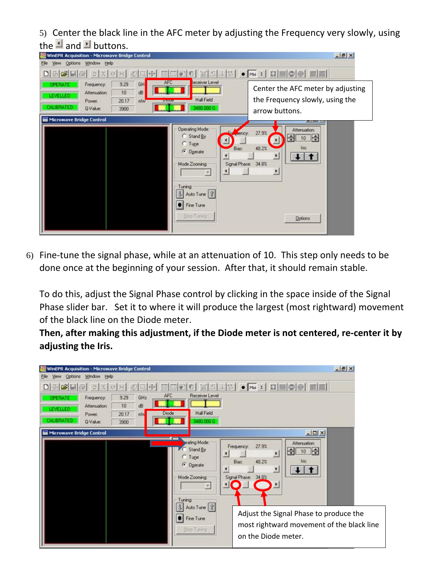5) Center the black line in the AFC meter by adjusting the Frequency very slowly, using the  $\blacksquare$  and  $\blacksquare$  buttons.

| inEPR Acquisition - Microwave Bridge Control                              |                                               |                                                                                                                                                                | $-18$                                                                                                                                      |
|---------------------------------------------------------------------------|-----------------------------------------------|----------------------------------------------------------------------------------------------------------------------------------------------------------------|--------------------------------------------------------------------------------------------------------------------------------------------|
| Options Window Help<br><b>View</b>                                        |                                               |                                                                                                                                                                | <b>エスタ • For :   ロ  国  ◎  ●    黒  園 </b>                                                                                                   |
| Frequency.<br><b>Attenuation:</b><br>Power:<br><b>IRRATED</b><br>Q-Value: | 9.29<br>GH<br>10<br>dB<br>20.17<br>mW<br>3900 | <b>AFC</b><br>eceiver Level<br>Hall Field<br><b>LANUAL</b><br>1490.000 G                                                                                       | Center the AFC meter by adjusting<br>the Frequency slowly, using the<br>arrow buttons.                                                     |
| <b>Microwave Bridge Control</b>                                           |                                               | <b>Operating Mode:</b><br>C Stand By<br>$C$ Tupe<br>Bias:<br>G Operate<br>Mode Zooming:<br>$\cdot$<br>因<br>Tuning<br>3 Auto Tune ?<br>Fine Tune<br>Stop Tuning | --<br>Attenuation:<br>27.9%<br><b>Atticy</b><br>$10$ $\Rightarrow$<br>쉭<br>48.2%<br>Ing<br>٠<br>Signal Phase: 34.8%<br>٠<br><b>Options</b> |

6) Fine-tune the signal phase, while at an attenuation of 10. This step only needs to be done once at the beginning of your session. After that, it should remain stable.

To do this, adjust the Signal Phase control by clicking in the space inside of the Signal Phase slider bar. Set it to where it will produce the largest (most rightward) movement of the black line on the Diode meter.

**Then, after making this adjustment, if the Diode meter is not centered, re-center it by adjusting the Iris.** 

| <b>WinEPR Acquisition - Microwave Bridge Control</b><br>Window Help<br>Options |                                                 |                                                                                      |                                                                                                                                                                                         | $-10x$ |
|--------------------------------------------------------------------------------|-------------------------------------------------|--------------------------------------------------------------------------------------|-----------------------------------------------------------------------------------------------------------------------------------------------------------------------------------------|--------|
|                                                                                |                                                 |                                                                                      | <b>エスト • mw : ロ国のの開闢</b>                                                                                                                                                                |        |
| Frequency.<br><b>Attenuation:</b><br>Power:<br>Q-Value:                        | 9.29<br>GHz<br>10<br>ďB<br>20.17<br>min<br>3900 | <b>Receiver Level</b><br>AFC<br><b>Hall Field</b><br>Diode<br>80.000 G               |                                                                                                                                                                                         |        |
| Microwave Bridge Control                                                       |                                                 | 3 C I<br>mating Mode:<br>Stand By<br>$C$ Tune<br>G Operate<br>Mode Zooming<br>Tuning | $-101 \times$<br>Attenuation:<br>27.9%<br>Frequency.<br>Н<br>10<br>$\left  \mathbf{A} \right $<br>۶<br>48.2%<br><b>Ing</b><br>Biast<br>$\blacktriangleleft$<br>٠<br>Signal Phase: 34.8% |        |
|                                                                                |                                                 | 3 Auto Tune ?<br><b>C</b> Fine Tune<br>Stop Tuning                                   | Adjust the Signal Phase to produce the<br>most rightward movement of the black line<br>on the Diode meter.                                                                              |        |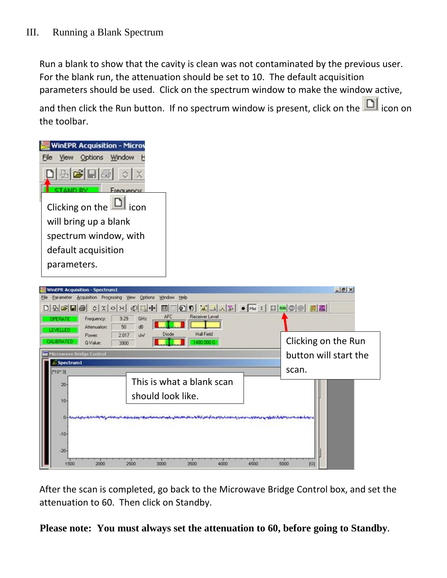Run a blank to show that the cavity is clean was not contaminated by the previous user. For the blank run, the attenuation should be set to 10. The default acquisition parameters should be used. Click on the spectrum window to make the window active,

and then click the Run button. If no spectrum window is present, click on the  $\Box$  icon on the toolbar.

| <b>WinEPR Acquisition - Microy</b> |
|------------------------------------|
| Options Window                     |
| 9. G                               |
|                                    |
| Clicking on the<br>icon            |
| will bring up a blank              |
| spectrum window, with              |
| default acquisition                |
| parameters.                        |

| <b>WinEPR Acquisition - Spectrum1</b>                            | Parameter Acquisition Processing View Options Window Help                                                                                                                                                                           | $-18$                                        |
|------------------------------------------------------------------|-------------------------------------------------------------------------------------------------------------------------------------------------------------------------------------------------------------------------------------|----------------------------------------------|
| Frequency.<br><b>Attenuation:</b>                                | <b>Receiver Level</b><br>AFC<br>9.29<br>GHz<br>50<br>d <sub>R</sub>                                                                                                                                                                 |                                              |
| Power:<br><b>TREATED</b><br>Q-Value:<br>Microwave Bridge Control | <b>Hall Field</b><br>Diode<br>2017<br><b>UW</b><br>1490 000 G<br>3900                                                                                                                                                               | Clicking on the Run<br>button will start the |
| Spectrum1<br>M0^31                                               | This is what a blank scan                                                                                                                                                                                                           | scan.                                        |
| $20 -$<br>10 <sub>10</sub>                                       | should look like.                                                                                                                                                                                                                   |                                              |
|                                                                  | <u>التارىبىيە ئويتىلارنى ئولان ئوراسىدى ئورىنى ئورىنى ئورىنى ئورىنى ئورىنى ئورىنى ئورىنى ئورىنى ئورىنى ئورىنى ئورىنى ئورىنى ئورىنى ئورىنى ئورىنى ئورىنى ئورىنى ئورىنى ئورىنى ئورىنى ئورىنى ئورىنى ئورىنى ئورىنى ئورىنى ئورىنى ئ</u> |                                              |
| $-10-$<br>$-20$                                                  |                                                                                                                                                                                                                                     |                                              |
| 1500<br>2000                                                     | 2500<br>3500<br>3000<br>4000<br>4500                                                                                                                                                                                                | 5000<br>[G]                                  |

After the scan is completed, go back to the Microwave Bridge Control box, and set the attenuation to 60. Then click on Standby.

**Please note: You must always set the attenuation to 60, before going to Standby.**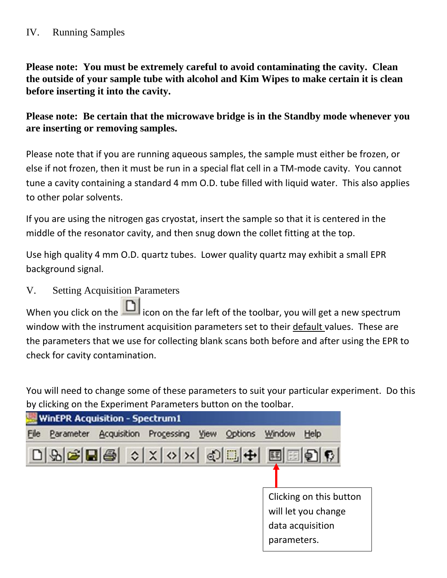## IV. Running Samples

**Please note: You must be extremely careful to avoid contaminating the cavity. Clean the outside of your sample tube with alcohol and Kim Wipes to make certain it is clean before inserting it into the cavity.** 

**Please note: Be certain that the microwave bridge is in the Standby mode whenever you are inserting or removing samples.** 

Please note that if you are running aqueous samples, the sample must either be frozen, or else if not frozen, then it must be run in a special flat cell in a TM-mode cavity. You cannot tune a cavity containing a standard 4 mm O.D. tube filled with liquid water. This also applies to other polar solvents.

If you are using the nitrogen gas cryostat, insert the sample so that it is centered in the middle of the resonator cavity, and then snug down the collet fitting at the top.

Use high quality 4 mm O.D. quartz tubes. Lower quality quartz may exhibit a small EPR background signal.

V. Setting Acquisition Parameters

When you click on the  $\Box$  icon on the far left of the toolbar, you will get a new spectrum window with the instrument acquisition parameters set to their default values. These are the parameters that we use for collecting blank scans both before and after using the EPR to check for cavity contamination.

You will need to change some of these parameters to suit your particular experiment. Do this by clicking on the Experiment Parameters button on the toolbar.

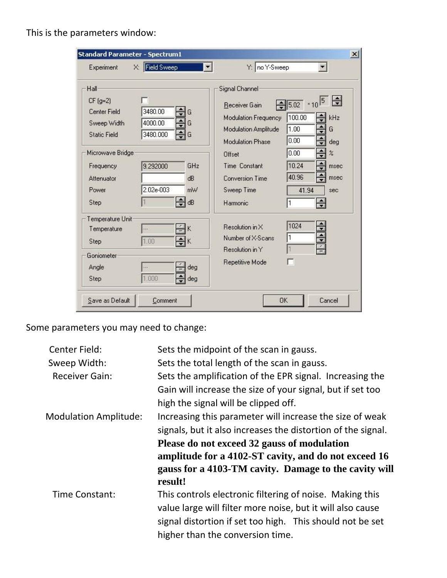This is the parameters window:

| Hall                                            |                              | Signal Channel                                                       |                                                   |                                 |
|-------------------------------------------------|------------------------------|----------------------------------------------------------------------|---------------------------------------------------|---------------------------------|
| $CF(g=2)$<br><b>Center Field</b><br>Sweep Width | 3480.00<br>G<br>4000.00<br>G | Receiver Gain<br>Modulation Frequency<br><b>Modulation Amplitude</b> | $\sqrt{5.02}$ * 10 <sup>5</sup><br>100.00<br>1.00 | $\div$<br>kHz<br>≑<br>G         |
| <b>Static Field</b><br>Microwave Bridge         | 3480.000<br>G                | <b>Modulation Phase</b><br>Offset                                    | 0.00<br>0.00                                      | $\div$<br>deg<br>$\div$<br>$\%$ |
| Frequency<br>Attenuator                         | GHz<br>9.292000<br>dB        | Time Constant<br><b>Conversion Time</b>                              | 10.24<br>40.96                                    | msec<br>msec                    |
| Power<br>Step                                   | 2.02e-003<br>mW<br>dB        | Sweep Time<br>Harmonic                                               | 41.94<br>1                                        | sec<br>$\div$                   |
| Temperature Unit                                |                              |                                                                      |                                                   |                                 |
| Temperature<br>Step                             | Κ<br>1.00<br>κ               | Resolution in X<br>Number of X-Scans                                 | 1024<br>1                                         | ÷<br>$\frac{1}{\tau}$           |
| Goniometer                                      |                              | Resolution in Y                                                      |                                                   |                                 |
| Angle<br>Step                                   | deg<br>1.000<br>deg          | Repetitive Mode                                                      | r                                                 |                                 |

Some parameters you may need to change:

| Center Field:                | Sets the midpoint of the scan in gauss.                      |
|------------------------------|--------------------------------------------------------------|
| Sweep Width:                 | Sets the total length of the scan in gauss.                  |
| <b>Receiver Gain:</b>        | Sets the amplification of the EPR signal. Increasing the     |
|                              | Gain will increase the size of your signal, but if set too   |
|                              | high the signal will be clipped off.                         |
| <b>Modulation Amplitude:</b> | Increasing this parameter will increase the size of weak     |
|                              | signals, but it also increases the distortion of the signal. |
|                              | Please do not exceed 32 gauss of modulation                  |
|                              | amplitude for a 4102-ST cavity, and do not exceed 16         |
|                              | gauss for a 4103-TM cavity. Damage to the cavity will        |
|                              | result!                                                      |
| Time Constant:               | This controls electronic filtering of noise. Making this     |
|                              | value large will filter more noise, but it will also cause   |
|                              | signal distortion if set too high. This should not be set    |
|                              | higher than the conversion time.                             |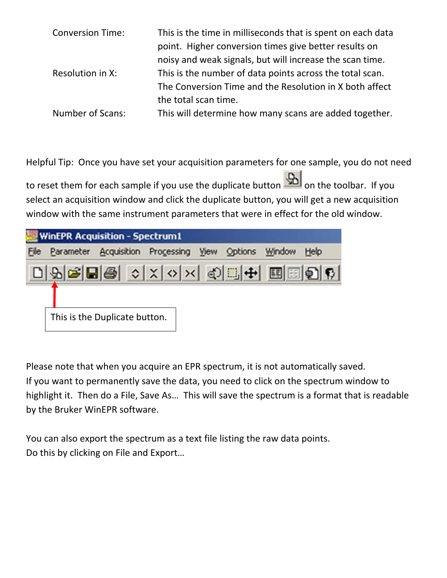| <b>Conversion Time:</b> | This is the time in milliseconds that is spent on each data<br>point. Higher conversion times give better results on<br>noisy and weak signals, but will increase the scan time. |
|-------------------------|----------------------------------------------------------------------------------------------------------------------------------------------------------------------------------|
| Resolution in X:        | This is the number of data points across the total scan.<br>The Conversion Time and the Resolution in X both affect                                                              |
| <b>Number of Scans:</b> | the total scan time.<br>This will determine how many scans are added together.                                                                                                   |
|                         |                                                                                                                                                                                  |

Helpful Tip: Once you have set your acquisition parameters for one sample, you do not need to reset them for each sample if you use the duplicate button **Sout** on the toolbar. If you select an acquisition window and click the duplicate button, you will get a new acquisition window with the same instrument parameters that were in effect for the old window.

|      | <b>WinEPR Acquisition - Spectrum1</b> |                               |                                                      |  |  |  |      |  |  |  |
|------|---------------------------------------|-------------------------------|------------------------------------------------------|--|--|--|------|--|--|--|
| File |                                       |                               | Parameter Acquisition Processing View Options Window |  |  |  | Help |  |  |  |
|      | 미외대리용 여자이저 이미 베르타이 1                  |                               |                                                      |  |  |  |      |  |  |  |
|      |                                       | This is the Duplicate button. |                                                      |  |  |  |      |  |  |  |

Please note that when you acquire an EPR spectrum, it is not automatically saved. If you want to permanently save the data, you need to click on the spectrum window to highlight it. Then do a File, Save As… This will save the spectrum is a format that is readable by the Bruker WinEPR software.

You can also export the spectrum as a text file listing the raw data points. Do this by clicking on File and Export…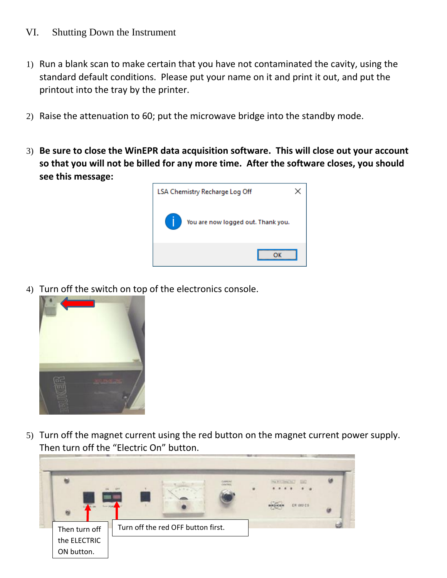## VI. Shutting Down the Instrument

- 1) Run a blank scan to make certain that you have not contaminated the cavity, using the standard default conditions. Please put your name on it and print it out, and put the printout into the tray by the printer.
- 2) Raise the attenuation to 60; put the microwave bridge into the standby mode.
- 3) **Be sure to close the WinEPR data acquisition software. This will close out your account so that you will not be billed for any more time. After the software closes, you should see this message:**



4) Turn off the switch on top of the electronics console.



5) Turn off the magnet current using the red button on the magnet current power supply. Then turn off the "Electric On" button.